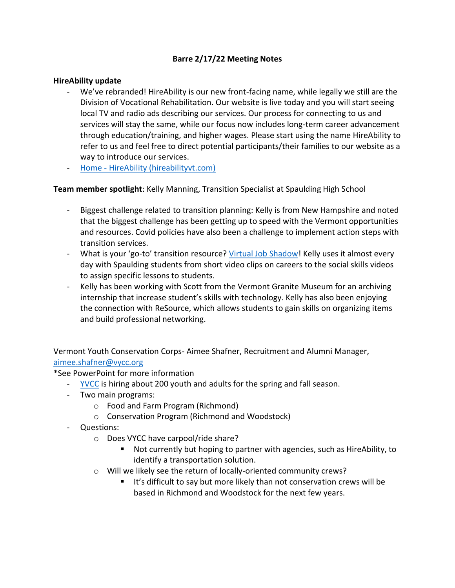## **Barre 2/17/22 Meeting Notes**

## **HireAbility update**

- We've rebranded! HireAbility is our new front-facing name, while legally we still are the Division of Vocational Rehabilitation. Our website is live today and you will start seeing local TV and radio ads describing our services. Our process for connecting to us and services will stay the same, while our focus now includes long-term career advancement through education/training, and higher wages. Please start using the name HireAbility to refer to us and feel free to direct potential participants/their families to our website as a way to introduce our services.
- Home [HireAbility \(hireabilityvt.com\)](https://www.hireabilityvt.com/)

## **Team member spotlight**: Kelly Manning, Transition Specialist at Spaulding High School

- Biggest challenge related to transition planning: Kelly is from New Hampshire and noted that the biggest challenge has been getting up to speed with the Vermont opportunities and resources. Covid policies have also been a challenge to implement action steps with transition services.
- What is your 'go-to' transition resource? [Virtual Job Shadow!](https://www.virtualjobshadow.com/) Kelly uses it almost every day with Spaulding students from short video clips on careers to the social skills videos to assign specific lessons to students.
- Kelly has been working with Scott from the Vermont Granite Museum for an archiving internship that increase student's skills with technology. Kelly has also been enjoying the connection with ReSource, which allows students to gain skills on organizing items and build professional networking.

Vermont Youth Conservation Corps- Aimee Shafner, Recruitment and Alumni Manager, [aimee.shafner@vycc.org](mailto:aimee.shafner@vycc.org)

\*See PowerPoint for more information

- [YVCC](https://www.vycc.org/) is hiring about 200 youth and adults for the spring and fall season.
- Two main programs:
	- o Food and Farm Program (Richmond)
	- o Conservation Program (Richmond and Woodstock)
- Questions:
	- o Does VYCC have carpool/ride share?
		- Not currently but hoping to partner with agencies, such as HireAbility, to identify a transportation solution.
	- o Will we likely see the return of locally-oriented community crews?
		- It's difficult to say but more likely than not conservation crews will be based in Richmond and Woodstock for the next few years.